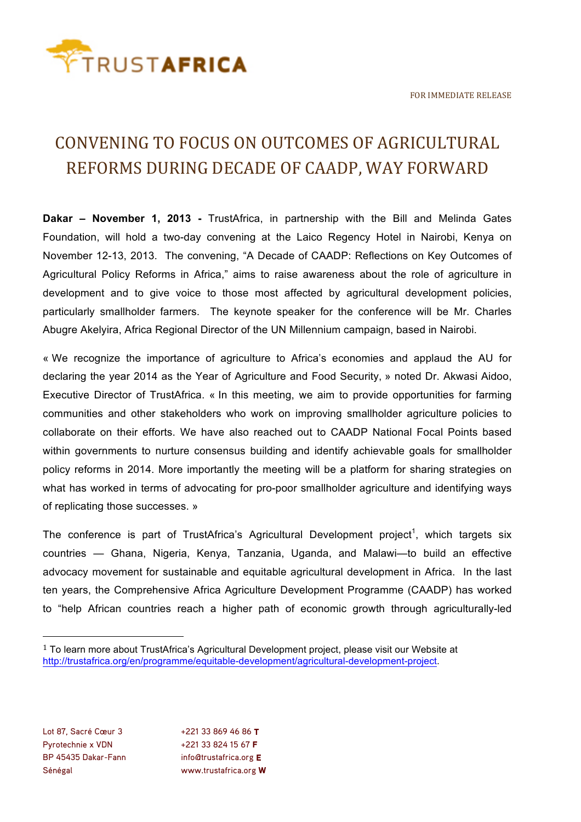

## CONVENING TO FOCUS ON OUTCOMES OF AGRICULTURAL REFORMS DURING DECADE OF CAADP, WAY FORWARD

**Dakar – November 1, 2013 -** TrustAfrica, in partnership with the Bill and Melinda Gates Foundation, will hold a two-day convening at the Laico Regency Hotel in Nairobi, Kenya on November 12-13, 2013. The convening, "A Decade of CAADP: Reflections on Key Outcomes of Agricultural Policy Reforms in Africa," aims to raise awareness about the role of agriculture in development and to give voice to those most affected by agricultural development policies, particularly smallholder farmers. The keynote speaker for the conference will be Mr. Charles Abugre Akelyira, Africa Regional Director of the UN Millennium campaign, based in Nairobi.

« We recognize the importance of agriculture to Africa's economies and applaud the AU for declaring the year 2014 as the Year of Agriculture and Food Security, » noted Dr. Akwasi Aidoo, Executive Director of TrustAfrica. « In this meeting, we aim to provide opportunities for farming communities and other stakeholders who work on improving smallholder agriculture policies to collaborate on their efforts. We have also reached out to CAADP National Focal Points based within governments to nurture consensus building and identify achievable goals for smallholder policy reforms in 2014. More importantly the meeting will be a platform for sharing strategies on what has worked in terms of advocating for pro-poor smallholder agriculture and identifying ways of replicating those successes. »

The conference is part of TrustAfrica's Agricultural Development project<sup>1</sup>, which targets six countries — Ghana, Nigeria, Kenya, Tanzania, Uganda, and Malawi—to build an effective advocacy movement for sustainable and equitable agricultural development in Africa. In the last ten years, the Comprehensive Africa Agriculture Development Programme (CAADP) has worked to "help African countries reach a higher path of economic growth through agriculturally-led

 

 $1$  To learn more about TrustAfrica's Agricultural Development project, please visit our Website at http://trustafrica.org/en/programme/equitable-development/agricultural-development-project.